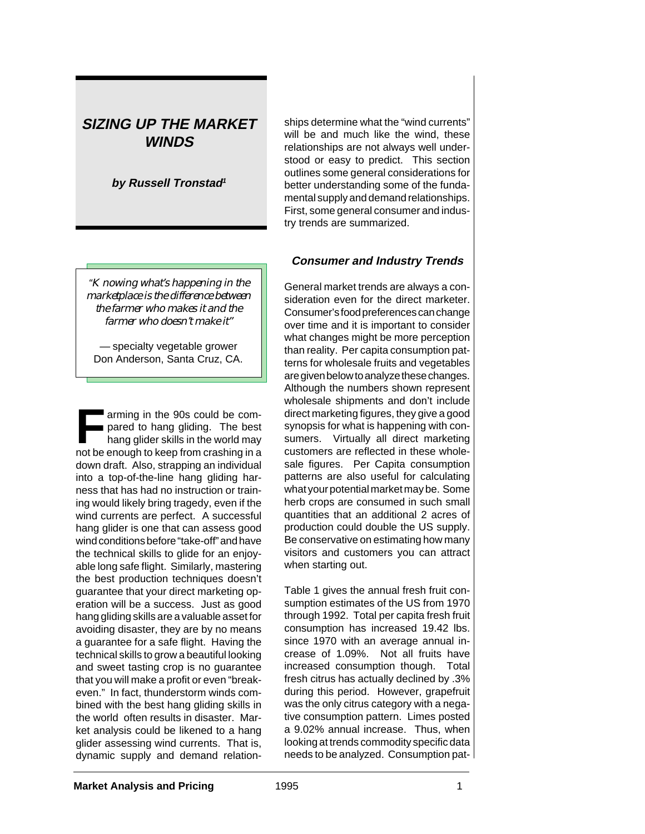## **SIZING UP THE MARKET WINDS**

**by Russell Tronstad<sup>1</sup>**

"*Knowing what's happening in the marketplace is the difference between the farmer who makes it and the farmer who doesn't make it"*

— specialty vegetable grower Don Anderson, Santa Cruz, CA.

**Farming in the 90s could be compared to hang gliding. The best<br>hang glider skills in the world may<br>not be spough to keep from crosbing in a** pared to hang gliding. The best not be enough to keep from crashing in a down draft. Also, strapping an individual into a top-of-the-line hang gliding harness that has had no instruction or training would likely bring tragedy, even if the wind currents are perfect. A successful hang glider is one that can assess good wind conditions before "take-off" and have the technical skills to glide for an enjoyable long safe flight. Similarly, mastering the best production techniques doesn't guarantee that your direct marketing operation will be a success. Just as good hang gliding skills are a valuable asset for avoiding disaster, they are by no means a guarantee for a safe flight. Having the technical skills to grow a beautiful looking and sweet tasting crop is no guarantee that you will make a profit or even "breakeven." In fact, thunderstorm winds combined with the best hang gliding skills in the world often results in disaster. Market analysis could be likened to a hang glider assessing wind currents. That is, dynamic supply and demand relationships determine what the "wind currents" will be and much like the wind, these relationships are not always well understood or easy to predict. This section outlines some general considerations for better understanding some of the fundamental supply and demand relationships. First, some general consumer and industry trends are summarized.

### **Consumer and Industry Trends**

General market trends are always a consideration even for the direct marketer. Consumer's food preferences can change over time and it is important to consider what changes might be more perception than reality. Per capita consumption patterns for wholesale fruits and vegetables are given below to analyze these changes. Although the numbers shown represent wholesale shipments and don't include direct marketing figures, they give a good synopsis for what is happening with consumers. Virtually all direct marketing customers are reflected in these wholesale figures. Per Capita consumption patterns are also useful for calculating what your potential market may be. Some herb crops are consumed in such small quantities that an additional 2 acres of production could double the US supply. Be conservative on estimating how many visitors and customers you can attract when starting out.

Table 1 gives the annual fresh fruit consumption estimates of the US from 1970 through 1992. Total per capita fresh fruit consumption has increased 19.42 lbs. since 1970 with an average annual increase of 1.09%. Not all fruits have increased consumption though. Total fresh citrus has actually declined by .3% during this period. However, grapefruit was the only citrus category with a negative consumption pattern. Limes posted a 9.02% annual increase. Thus, when looking at trends commodity specific data needs to be analyzed. Consumption pat-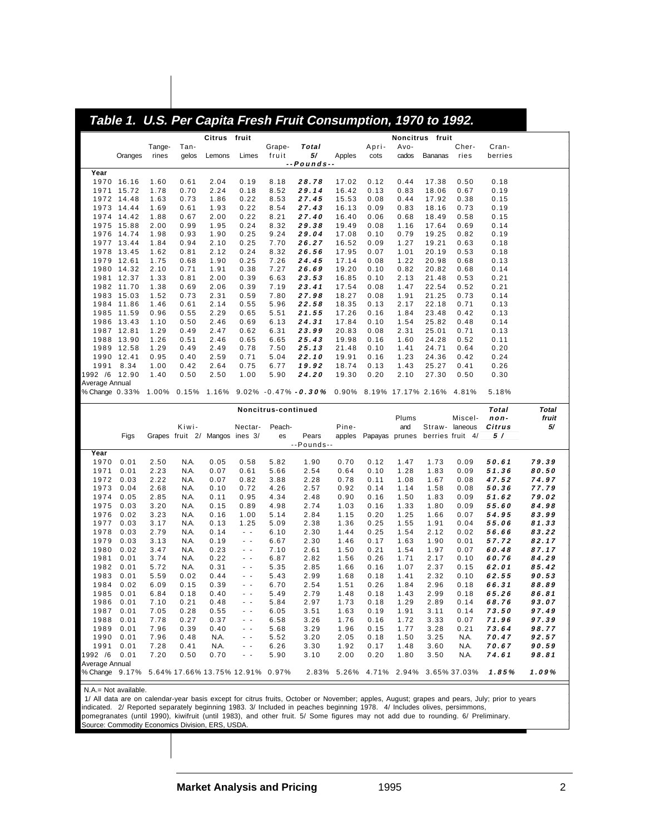| Oranges<br>Year                                                   |              |                                |              |                               |                     |                                          |                | Table 1. U.S. Per Capita Fresh Fruit Consumption, 1970 to 1992. |                                        |                |                |                |                |
|-------------------------------------------------------------------|--------------|--------------------------------|--------------|-------------------------------|---------------------|------------------------------------------|----------------|-----------------------------------------------------------------|----------------------------------------|----------------|----------------|----------------|----------------|
|                                                                   |              |                                | Citrus fruit |                               |                     |                                          |                |                                                                 | Noncitrus fruit                        |                |                |                |                |
|                                                                   | Tange-       | Tan-                           |              |                               | Grape-              | Total                                    |                | Apri-                                                           | Avo-                                   |                | Cher-          | Cran-          |                |
|                                                                   | rines        | gelos                          | Lemons       | Limes                         | fruit               | 5/<br>$-$ -Pounds $-$                    | Apples         | cots                                                            | cados                                  | <b>Bananas</b> | ries           | berries        |                |
|                                                                   |              |                                |              |                               |                     |                                          |                |                                                                 |                                        |                |                |                |                |
| 1970 16.16                                                        | 1.60         | 0.61                           | 2.04         | 0.19                          | 8.18                | 28.78                                    | 17.02          | 0.12                                                            | 0.44                                   | 17.38          | 0.50           | 0.18           |                |
| 15.72<br>1971                                                     | 1.78         | 0.70                           | 2.24         | 0.18                          | 8.52                | 29.14                                    | 16.42          | 0.13                                                            | 0.83                                   | 18.06          | 0.67           | 0.19           |                |
| 1972 14.48                                                        | 1.63         | 0.73                           | 1.86         | 0.22                          | 8.53                | 27.45                                    | 15.53          | 0.08                                                            | 0.44                                   | 17.92          | 0.38           | 0.15           |                |
| 1973<br>14.44                                                     | 1.69         | 0.61                           | 1.93<br>2.00 | 0.22<br>0.22                  | 8.54                | 27.43                                    | 16.13          | 0.09                                                            | 0.83                                   | 18.16          | 0.73           | 0.19           |                |
| 1974 14.42<br>1975 15.88                                          | 1.88<br>2.00 | 0.67<br>0.99                   | 1.95         | 0.24                          | 8.21<br>8.32        | 27.40<br>29.38                           | 16.40<br>19.49 | 0.06<br>0.08                                                    | 0.68<br>1.16                           | 18.49<br>17.64 | 0.58<br>0.69   | 0.15<br>0.14   |                |
| 1976<br>14.74                                                     | 1.98         | 0.93                           | 1.90         | 0.25                          | 9.24                | 29.04                                    | 17.08          | 0.10                                                            | 0.79                                   | 19.25          | 0.82           | 0.19           |                |
| 1977 13.44                                                        | 1.84         | 0.94                           | 2.10         | 0.25                          | 7.70                | 26.27                                    | 16.52          | 0.09                                                            | 1.27                                   | 19.21          | 0.63           | 0.18           |                |
| 1978 13.45                                                        | 1.62         | 0.81                           | 2.12         | 0.24                          | 8.32                | 26.56                                    | 17.95          | 0.07                                                            | 1.01                                   | 20.19          | 0.53           | 0.18           |                |
| 1979 12.61                                                        | 1.75         | 0.68                           | 1.90         | 0.25                          | 7.26                | 24.45                                    | 17.14          | 0.08                                                            | 1.22                                   | 20.98          | 0.68           | 0.13           |                |
| 1980 14.32                                                        | 2.10         | 0.71                           | 1.91         | 0.38                          | 7.27                | 26.69                                    | 19.20          | 0.10                                                            | 0.82                                   | 20.82          | 0.68           | 0.14           |                |
| 12.37<br>1981                                                     | 1.33         | 0.81                           | 2.00         | 0.39                          | 6.63                | 23.53                                    | 16.85          | 0.10                                                            | 2.13                                   | 21.48          | 0.53           | 0.21           |                |
| 1982 11.70                                                        | 1.38         | 0.69                           | 2.06         | 0.39                          | 7.19                | 23.41                                    | 17.54          | 0.08                                                            | 1.47                                   | 22.54          | 0.52           | 0.21           |                |
| 1983 15.03                                                        | 1.52         | 0.73                           | 2.31         | 0.59                          | 7.80                | 27.98                                    | 18.27          | 0.08                                                            | 1.91                                   | 21.25          | 0.73           | 0.14           |                |
| 1984 11.86                                                        | 1.46         | 0.61                           | 2.14         | 0.55                          | 5.96                | 22.58                                    | 18.35          | 0.13                                                            | 2.17                                   | 22.18          | 0.71           | 0.13           |                |
| 1985 11.59                                                        | 0.96         | 0.55                           | 2.29         | 0.65                          | 5.51                | 21.55                                    | 17.26          | 0.16                                                            | 1.84                                   | 23.48          | 0.42           | 0.13           |                |
| 1986 13.43                                                        | 1.10         | 0.50                           | 2.46         | 0.69                          | 6.13                | 24.31                                    | 17.84          | 0.10                                                            | 1.54                                   | 25.82          | 0.48           | 0.14           |                |
| 1987 12.81                                                        | 1.29         | 0.49                           | 2.47         | 0.62                          | 6.31                | 23.99                                    | 20.83          | 0.08                                                            | 2.31                                   | 25.01          | 0.71           | 0.13           |                |
| 1988 13.90                                                        | 1.26<br>1.29 | 0.51                           | 2.46         | 0.65                          | 6.65                | 25.43                                    | 19.98          | 0.16                                                            | 1.60                                   | 24.28          | 0.52           | 0.11           |                |
| 1989<br>12.58<br>1990 12.41                                       | 0.95         | 0.49<br>0.40                   | 2.49<br>2.59 | 0.78<br>0.71                  | 7.50<br>5.04        | 25.13<br>22.10                           | 21.48<br>19.91 | 0.10<br>0.16                                                    | 1.41<br>1.23                           | 24.71<br>24.36 | 0.64<br>0.42   | 0.20<br>0.24   |                |
| 1991<br>8.34                                                      | 1.00         | 0.42                           | 2.64         | 0.75                          | 6.77                | 19.92                                    | 18.74          | 0.13                                                            | 1.43                                   | 25.27          | 0.41           | 0.26           |                |
| 1992 /6 12.90                                                     | 1.40         | 0.50                           | 2.50         | 1.00                          | 5.90                | 24.20                                    | 19.30          | 0.20                                                            | 2.10                                   | 27.30          | 0.50           | 0.30           |                |
| Average Annual                                                    |              |                                |              |                               |                     |                                          |                |                                                                 |                                        |                |                |                |                |
| % Change 0.33%                                                    |              |                                |              |                               |                     | $1.00\%$ 0.15% 1.16% 9.02% -0.47% -0.30% |                |                                                                 | 0.90% 8.19% 17.17% 2.16% 4.81%         |                |                | 5.18%          |                |
|                                                                   |              |                                |              |                               | Noncitrus-continued |                                          |                |                                                                 |                                        |                |                | Total          | <b>Total</b>   |
|                                                                   |              |                                |              |                               |                     |                                          |                |                                                                 |                                        |                |                |                |                |
|                                                                   |              |                                |              |                               |                     |                                          |                |                                                                 | Plums                                  |                | Miscel-        | non-           | fruit          |
|                                                                   |              | Kiwi-                          |              | Nectar-                       | Peach-              |                                          | Pine-          |                                                                 | and                                    |                | Straw- laneous | Citrus         | 5/             |
| Figs                                                              |              | Grapes fruit 2/ Mangos ines 3/ |              |                               | es                  | Pears                                    |                |                                                                 | apples Papayas prunes berries fruit 4/ |                |                | 5 /            |                |
|                                                                   |              |                                |              |                               |                     | --Pounds--                               |                |                                                                 |                                        |                |                |                |                |
| Year                                                              |              |                                |              |                               |                     |                                          |                |                                                                 |                                        |                |                |                |                |
| 1970<br>0.01<br>1971<br>0.01                                      | 2.50<br>2.23 | N.A.<br>N.A.                   | 0.05<br>0.07 | 0.58<br>0.61                  | 5.82<br>5.66        | 1.90<br>2.54                             | 0.70<br>0.64   | 0.12<br>0.10                                                    | 1.47<br>1.28                           | 1.73<br>1.83   | 0.09<br>0.09   | 50.61<br>51.36 | 79.39<br>80.50 |
| 1972<br>0.03                                                      | 2.22         | N.A.                           | 0.07         | 0.82                          | 3.88                | 2.28                                     | 0.78           | 0.11                                                            | 1.08                                   | 1.67           | 0.08           | 47.52          | 74.97          |
| 1973<br>0.04                                                      | 2.68         | N.A.                           | 0.10         | 0.72                          | 4.26                | 2.57                                     | 0.92           | 0.14                                                            | 1.14                                   | 1.58           | 0.08           | 50.36          | 77.79          |
| 1974<br>0.05                                                      | 2.85         | N.A.                           | 0.11         | 0.95                          | 4.34                | 2.48                                     | 0.90           | 0.16                                                            | 1.50                                   | 1.83           | 0.09           | 51.62          | 79.02          |
| 1975<br>0.03                                                      | 3.20         | N.A.                           | 0.15         | 0.89                          | 4.98                | 2.74                                     | 1.03           | 0.16                                                            | 1.33                                   | 1.80           | 0.09           | 55.60          | 84.98          |
| 1976<br>0.02                                                      | 3.23         | N.A.                           | 0.16         | 1.00                          | 5.14                | 2.84                                     | 1.15           | 0.20                                                            | 1.25                                   | 1.66           | 0.07           | 54.95          | 83.99          |
| 1977<br>0.03                                                      | 3.17         | N.A.                           | 0.13         | 1.25                          | 5.09                | 2.38                                     | 1.36           | 0.25                                                            | 1.55                                   | 1.91           | 0.04           | <i>55.06</i>   | 81.33          |
| 1978<br>0.03                                                      | 2.79         | N.A.                           | 0.14         | $\sim$ $\sim$                 | 6.10                | 2.30                                     | 1.44           | 0.25                                                            | 1.54                                   | 2.12           | 0.02           | 56.66          | 83.22          |
| 1979<br>0.03                                                      | 3.13         | N.A.                           | 0.19         | $\sim$ $\sim$                 | 6.67                | 2.30                                     | 1.46           | 0.17                                                            | 1.63                                   | 1.90           | 0.01           | 57.72          | 82.17          |
| 1980<br>0.02                                                      | 3.47         | N.A.                           | 0.23         | $\sim$ $-$                    | 7.10                | 2.61                                     | 1.50           | 0.21                                                            | 1.54                                   | 1.97           | 0.07           | 60.48          | 87.17          |
| 1981<br>0.01                                                      | 3.74         | N.A.                           | 0.22         | $\sim$ $\sim$                 | 6.87                | 2.82                                     | 1.56           | 0.26                                                            | 1.71                                   | 2.17           | 0.10           | 60.76          | 84.29          |
| 1982<br>0.01                                                      | 5.72         | N.A.                           | 0.31         | - -<br>- -                    | 5.35                | 2.85                                     | 1.66           | 0.16                                                            | 1.07                                   | 2.37           | 0.15           | 62.01          | 85.42          |
| 1983<br>0.01<br>1984<br>0.02                                      | 5.59<br>6.09 | 0.02<br>0.15                   | 0.44<br>0.39 | ۰<br>$\overline{\phantom{a}}$ | 5.43<br>6.70        | 2.99<br>2.54                             | 1.68<br>1.51   | 0.18<br>0.26                                                    | 1.41<br>1.84                           | 2.32<br>2.96   | 0.10<br>0.18   | 62.55<br>66.31 | 90.53<br>88.89 |
| 1985<br>0.01                                                      | 6.84         | 0.18                           | 0.40         | $\ddot{\phantom{1}}$          | 5.49                | 2.79                                     | 1.48           | 0.18                                                            | 1.43                                   | 2.99           | 0.18           | 65.26          | 86.81          |
| 1986<br>0.01                                                      | 7.10         | 0.21                           | 0.48         | - -                           | 5.84                | 2.97                                     | 1.73           | 0.18                                                            | 1.29                                   | 2.89           | 0.14           | 68.76          | 93.07          |
| 1987<br>0.01                                                      | 7.05         | 0.28                           | 0.55         | $\sim$ $\sim$                 | 6.05                | 3.51                                     | 1.63           | 0.19                                                            | 1.91                                   | 3.11           | 0.14           | 73.50          | 97.49          |
| 1988<br>0.01                                                      | 7.78         | 0.27                           | 0.37         | - -                           | 6.58                | 3.26                                     | 1.76           | 0.16                                                            | 1.72                                   | 3.33           | 0.07           | 71.96          | 97.39          |
| 1989<br>0.01                                                      | 7.96         | 0.39                           | 0.40         | $\sim$ $\sim$                 | 5.68                | 3.29                                     | 1.96           | 0.15                                                            | 1.77                                   | 3.28           | 0.21           | 73.64          | 98.77          |
| 1990<br>0.01                                                      | 7.96         | 0.48                           | N.A.         | - -                           | 5.52                | 3.20                                     | 2.05           | 0.18                                                            | 1.50                                   | 3.25           | N.A.           | 70.47          | 92.57          |
| 1991<br>0.01                                                      | 7.28         | 0.41                           | N.A.         | - -                           | 6.26                | 3.30                                     | 1.92           | 0.17                                                            | 1.48                                   | 3.60           | N.A.           | 70.67          | 90.59          |
| 1992 /6<br>0.01                                                   | 7.20         | 0.50                           | 0.70         | $\sim$ $\sim$                 | 5.90                | 3.10                                     | 2.00           | 0.20                                                            | 1.80                                   | 3.50           | N.A.           | 74.61          | 98.81          |
| Average Annual<br>% Change 9.17% 5.64% 17.66% 13.75% 12.91% 0.97% |              |                                |              |                               |                     |                                          |                |                                                                 | 2.83% 5.26% 4.71% 2.94%                |                | 3.65% 37.03%   | 1.85%          | 1.09%          |

 1/ All data are on calendar-year basis except for citrus fruits, October or November; apples, August; grapes and pears, July; prior to years indicated. 2/ Reported separately beginning 1983. 3/ Included in peaches beginning 1978. 4/ Includes olives, persimmons, pomegranates (until 1990), kiwifruit (until 1983), and other fruit. 5/ Some figures may not add due to rounding. 6/ Preliminary. Source: Commodity Economics Division, ERS, USDA.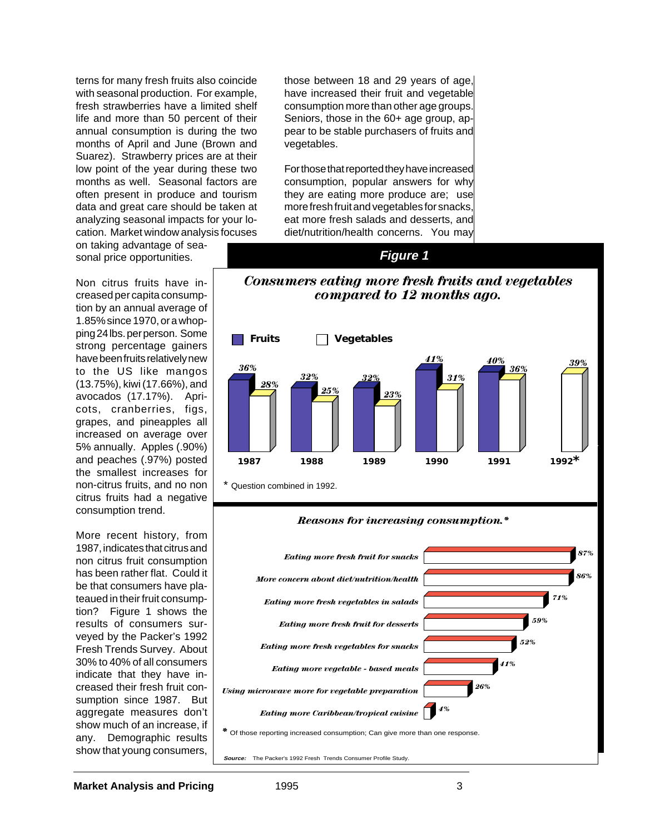terns for many fresh fruits also coincide with seasonal production. For example, fresh strawberries have a limited shelf life and more than 50 percent of their annual consumption is during the two months of April and June (Brown and Suarez). Strawberry prices are at their low point of the year during these two months as well. Seasonal factors are often present in produce and tourism data and great care should be taken at analyzing seasonal impacts for your location. Market window analysis focuses

on taking advantage of seasonal price opportunities.

Non citrus fruits have increased per capita consumption by an annual average of 1.85% since 1970, or a whopping 24 lbs. per person. Some strong percentage gainers have been fruits relatively new to the US like mangos (13.75%), kiwi (17.66%), and avocados (17.17%). Apricots, cranberries, figs, grapes, and pineapples all increased on average over 5% annually. Apples (.90%) and peaches (.97%) posted the smallest increases for non-citrus fruits, and no non citrus fruits had a negative consumption trend.

More recent history, from 1987, indicates that citrus and non citrus fruit consumption has been rather flat. Could it be that consumers have plateaued in their fruit consumption? Figure 1 shows the results of consumers surveyed by the Packer's 1992 Fresh Trends Survey. About 30% to 40% of all consumers indicate that they have increased their fresh fruit consumption since 1987. But aggregate measures don't show much of an increase, if any. Demographic results show that young consumers,

those between 18 and 29 years of age, have increased their fruit and vegetable consumption more than other age groups. Seniors, those in the 60+ age group, appear to be stable purchasers of fruits and vegetables.

For those that reported they have increased consumption, popular answers for why they are eating more produce are; use more fresh fruit and vegetables for snacks, eat more fresh salads and desserts, and diet/nutrition/health concerns. You may

#### **Figure 1**

#### *Consumers eating more fresh fruits and vegetables compared to 12 months ago.*



#### *Reasons for increasing consumption.\**

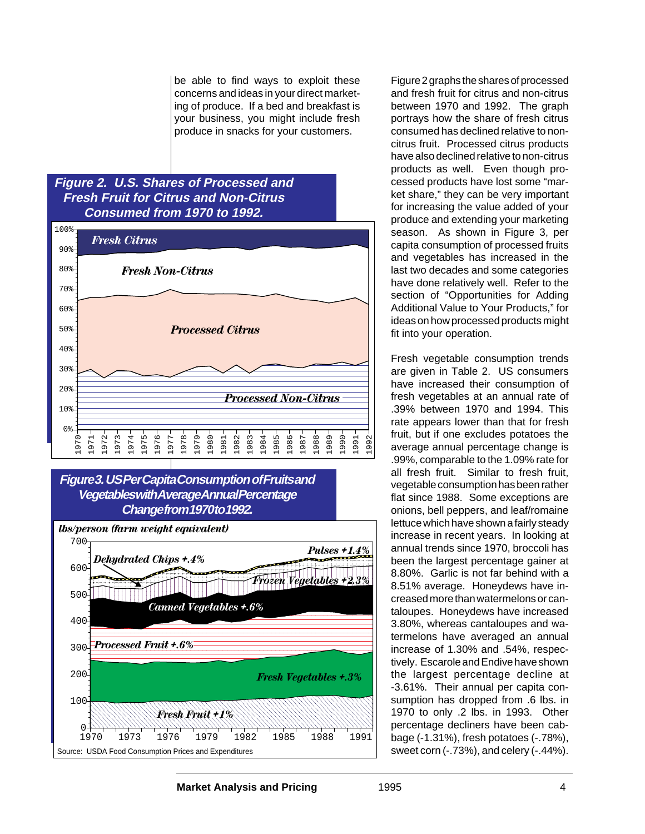be able to find ways to exploit these concerns and ideas in your direct marketing of produce. If a bed and breakfast is your business, you might include fresh produce in snacks for your customers.

### **Figure 2. U.S. Shares of Processed and Fresh Fruit for Citrus and Non-Citrus Consumed from 1970 to 1992.**



### **Figure 3. US Per Capita Consumption of Fruits and Vegetables with Average Annual Percentage Change from 1970 to 1992.**



Figure 2 graphs the shares of processed and fresh fruit for citrus and non-citrus between 1970 and 1992. The graph portrays how the share of fresh citrus consumed has declined relative to noncitrus fruit. Processed citrus products have also declined relative to non-citrus products as well. Even though processed products have lost some "market share," they can be very important for increasing the value added of your produce and extending your marketing season. As shown in Figure 3, per capita consumption of processed fruits and vegetables has increased in the last two decades and some categories have done relatively well. Refer to the section of "Opportunities for Adding Additional Value to Your Products," for ideas on how processed products might fit into your operation.

Fresh vegetable consumption trends are given in Table 2. US consumers have increased their consumption of fresh vegetables at an annual rate of .39% between 1970 and 1994. This rate appears lower than that for fresh fruit, but if one excludes potatoes the average annual percentage change is .99%, comparable to the 1.09% rate for all fresh fruit. Similar to fresh fruit, vegetable consumption has been rather flat since 1988. Some exceptions are onions, bell peppers, and leaf/romaine lettuce which have shown a fairly steady increase in recent years. In looking at annual trends since 1970, broccoli has been the largest percentage gainer at 8.80%. Garlic is not far behind with a 8.51% average. Honeydews have increased more than watermelons or cantaloupes. Honeydews have increased 3.80%, whereas cantaloupes and watermelons have averaged an annual increase of 1.30% and .54%, respectively. Escarole and Endive have shown the largest percentage decline at -3.61%. Their annual per capita consumption has dropped from .6 lbs. in 1970 to only .2 lbs. in 1993. Other percentage decliners have been cabbage (-1.31%), fresh potatoes (-.78%), sweet corn (-.73%), and celery (-.44%).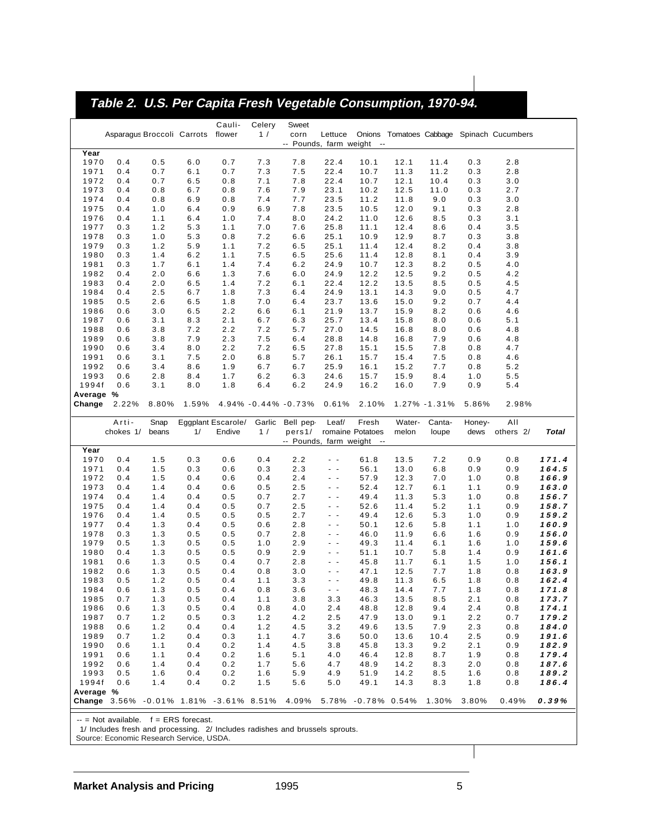# **Table 2. U.S. Per Capita Fresh Vegetable Consumption, 1970-94.**

|                    |                                   |            |            | Cauli-             | Celery     | Sweet                     |                |                  |              |               |            |                                           |                |
|--------------------|-----------------------------------|------------|------------|--------------------|------------|---------------------------|----------------|------------------|--------------|---------------|------------|-------------------------------------------|----------------|
|                    | Asparagus Broccoli Carrots flower |            |            |                    | 1/         | corn                      | Lettuce        |                  |              |               |            | Onions Tomatoes Cabbage Spinach Cucumbers |                |
|                    |                                   |            |            |                    |            | -- Pounds, farm weight -- |                |                  |              |               |            |                                           |                |
| Year               |                                   |            |            |                    |            |                           |                |                  |              |               |            |                                           |                |
| 1970               | 0.4                               | 0.5        | 6.0        | 0.7                | 7.3        | 7.8                       | 22.4           | 10.1             | 12.1         | 11.4          | 0.3        | 2.8                                       |                |
| 1971               | 0.4                               | 0.7        | 6.1        | 0.7                | 7.3        | 7.5                       | 22.4           | 10.7             | 11.3         | 11.2          | 0.3        | 2.8                                       |                |
| 1972               | 0.4                               | 0.7        | 6.5        | 0.8                | 7.1        | 7.8                       | 22.4           | 10.7             | 12.1         | 10.4          | 0.3        | 3.0                                       |                |
| 1973               | 0.4                               | 0.8        | 6.7        | 0.8                | 7.6        | 7.9                       | 23.1           | 10.2             | 12.5         | 11.0          | 0.3        | 2.7                                       |                |
| 1974               | 0.4                               | 0.8        | 6.9        | 0.8                | 7.4        | 7.7                       | 23.5           | 11.2             | 11.8         | 9.0           | 0.3        | 3.0                                       |                |
| 1975               | 0.4                               | 1.0        | 6.4        | 0.9                | 6.9        | 7.8                       | 23.5           | 10.5             | 12.0         | 9.1           | 0.3        | 2.8                                       |                |
| 1976               | 0.4                               | 1.1        | 6.4        | 1.0                | 7.4        | 8.0                       | 24.2           | 11.0             | 12.6         | 8.5           | 0.3        | 3.1                                       |                |
| 1977               | 0.3                               | 1.2        | 5.3        | 1.1                | 7.0        | 7.6                       | 25.8           | 11.1             | 12.4         | 8.6           | 0.4        | 3.5                                       |                |
| 1978               | 0.3                               | 1.0        | 5.3        | 0.8                | 7.2        | 6.6                       | 25.1           | 10.9             | 12.9         | 8.7           | 0.3        | 3.8                                       |                |
| 1979               | 0.3                               | 1.2        | 5.9        | 1.1                | 7.2        | 6.5                       | 25.1           | 11.4             | 12.4         | 8.2           | 0.4        | 3.8                                       |                |
|                    |                                   |            |            |                    |            |                           |                |                  |              |               |            |                                           |                |
| 1980               | 0.3                               | 1.4        | 6.2        | 1.1                | 7.5        | 6.5                       | 25.6           | 11.4             | 12.8         | 8.1           | 0.4        | 3.9                                       |                |
| 1981               | 0.3                               | 1.7        | 6.1        | 1.4                | 7.4        | 6.2                       | 24.9           | 10.7             | 12.3         | 8.2           | 0.5        | 4.0                                       |                |
| 1982               | 0.4                               | 2.0        | 6.6        | 1.3                | 7.6        | 6.0                       | 24.9           | 12.2             | 12.5         | 9.2           | 0.5        | 4.2                                       |                |
| 1983               | 0.4                               | 2.0        | 6.5        | 1.4                | 7.2        | 6.1                       | 22.4           | 12.2             | 13.5         | 8.5           | 0.5        | 4.5                                       |                |
| 1984               | 0.4                               | 2.5        | 6.7        | 1.8                | 7.3        | 6.4                       | 24.9           | 13.1             | 14.3         | 9.0           | 0.5        | 4.7                                       |                |
| 1985               | 0.5                               | 2.6        | 6.5        | 1.8                | 7.0        | 6.4                       | 23.7           | 13.6             | 15.0         | 9.2           | 0.7        | 4.4                                       |                |
| 1986               | 0.6                               | 3.0        | 6.5        | 2.2                | 6.6        | 6.1                       | 21.9           | 13.7             | 15.9         | 8.2           | 0.6        | 4.6                                       |                |
| 1987               | 0.6                               | 3.1        | 8.3        | 2.1                | 6.7        | 6.3                       | 25.7           | 13.4             | 15.8         | 8.0           | 0.6        | 5.1                                       |                |
| 1988               | 0.6                               | 3.8        | 7.2        | 2.2                | 7.2        | 5.7                       | 27.0           | 14.5             | 16.8         | 8.0           | 0.6        | 4.8                                       |                |
| 1989               | 0.6                               | 3.8        | 7.9        | 2.3                | 7.5        | 6.4                       | 28.8           | 14.8             | 16.8         | 7.9           | 0.6        | 4.8                                       |                |
| 1990               | 0.6                               | 3.4        | 8.0        | 2.2                | 7.2        | 6.5                       | 27.8           | 15.1             | 15.5         | 7.8           | 0.8        | 4.7                                       |                |
| 1991               | 0.6                               | 3.1        | 7.5        | 2.0                | 6.8        | 5.7                       | 26.1           | 15.7             | 15.4         | 7.5           | 0.8        | 4.6                                       |                |
| 1992               | 0.6                               | 3.4        | 8.6        | 1.9                | 6.7        | 6.7                       | 25.9           | 16.1             | 15.2         | 7.7           | 0.8        | 5.2                                       |                |
| 1993               | 0.6                               | 2.8        | 8.4        | 1.7                | 6.2        | 6.3                       | 24.6           | 15.7             | 15.9         | 8.4           | 1.0        | 5.5                                       |                |
| 1994f              | 0.6                               | 3.1        | 8.0        | 1.8                | 6.4        | 6.2                       | 24.9           | 16.2             | 16.0         | 7.9           | 0.9        | 5.4                                       |                |
| Average %          |                                   |            |            |                    |            |                           |                |                  |              |               |            |                                           |                |
| Change             | 2.22%                             | 8.80%      | 1.59%      |                    |            | 4.94% -0.44% -0.73%       | 0.61%          | 2.10%            |              | 1.27% - 1.31% | 5.86%      | 2.98%                                     |                |
|                    |                                   |            |            |                    |            |                           |                |                  |              |               |            |                                           |                |
|                    |                                   |            |            |                    |            |                           |                |                  |              |               |            |                                           |                |
|                    | Arti-                             | Snap       |            | Eggplant Escarole/ | Garlic     | Bell pep-                 | Leaf/          | Fresh            | Water-       | Canta-        | Honey-     | AII                                       |                |
|                    | chokes 1/                         | beans      | 1/         | Endive             | 1/         | pers1/                    |                | romaine Potatoes | melon        | loupe         | dews       | others 2/                                 | <b>Total</b>   |
|                    |                                   |            |            |                    |            | -- Pounds, farm weight -- |                |                  |              |               |            |                                           |                |
| Year               |                                   |            |            |                    |            |                           |                |                  |              |               |            |                                           |                |
| 1970               | 0.4                               | 1.5        | 0.3        | 0.6                | 0.4        | 2.2                       | $\sim$ $ \sim$ | 61.8             | 13.5         | 7.2           | 0.9        | 0.8                                       | 171.4          |
| 1971               | 0.4                               | 1.5        | 0.3        | 0.6                | 0.3        | 2.3                       | $\sim$         | 56.1             | 13.0         | 6.8           | 0.9        | 0.9                                       | 164.5          |
| 1972               | 0.4                               | 1.5        | 0.4        | 0.6                | 0.4        | 2.4                       | $\sim$ $\sim$  | 57.9             | 12.3         | 7.0           | 1.0        | 0.8                                       | 166.9          |
| 1973               | 0.4                               | 1.4        | 0.4        | 0.6                | 0.5        | 2.5                       | $\sim$ $\sim$  | 52.4             | 12.7         | 6.1           | 1.1        | 0.9                                       | 163.0          |
| 1974               | 0.4                               | 1.4        | 0.4        | 0.5                | 0.7        | 2.7                       | $\sim$ $-$     | 49.4             | 11.3         | 5.3           | 1.0        | 0.8                                       | 156.7          |
| 1975               | 0.4                               | 1.4        | 0.4        | 0.5                | 0.7        | 2.5                       | $\sim$ $ \sim$ | 52.6             | 11.4         | 5.2           | 1.1        | 0.9                                       | 158.7          |
| 1976               | 0.4                               | 1.4        | 0.5        | 0.5                | 0.5        | 2.7                       | $\sim$ $\sim$  | 49.4             | 12.6         | 5.3           | 1.0        | 0.9                                       | 159.2          |
| 1977               | 0.4                               | 1.3        | 0.4        | 0.5                | 0.6        | 2.8                       | $\sim$ $ \sim$ | 50.1             | 12.6         | 5.8           | 1.1        | 1.0                                       | 160.9          |
| 1978               | 0.3                               | 1.3        | 0.5        | 0.5                | 0.7        | 2.8                       | $\sim$ $ \sim$ | 46.0             | 11.9         | 6.6           | 1.6        | 0.9                                       | 156.0          |
| 1979               | 0.5                               | 1.3        | 0.5        | 0.5                | 1.0        | 2.9                       | $\sim$ $-$     | 49.3             | 11.4         | 6.1           | 1.6        | 1.0                                       | 159.6          |
| 1980               | 0.4                               | 1.3        | 0.5        | 0.5                | 0.9        | 2.9                       | $\sim$ $-$     | 51.1             | 10.7         | 5.8           | 1.4        | 0.9                                       | 161.6          |
| 1981               | 0.6                               | 1.3        | 0.5        | 0.4                | 0.7        | 2.8                       | $\sim$ $\sim$  | 45.8             | 11.7         | 6.1           | 1.5        | 1.0                                       | 156.1          |
| 1982               | 0.6                               | 1.3        | 0.5        | 0.4                | 0.8        | 3.0                       | $\sim$ $\sim$  | 47.1             | 12.5         | 7.7           | 1.8        | 0.8                                       | 163.9          |
| 1983               | 0.5                               | 1.2        | 0.5        | 0.4                | 1.1        | 3.3                       | $\sim$ $-$     | 49.8             | 11.3         | 6.5           | 1.8        | 0.8                                       | 162.4          |
| 1984               | 0.6                               | 1.3        | 0.5        | 0.4                | 0.8        | 3.6                       | $\sim$ $\sim$  | 48.3             | 14.4         | 7.7           | 1.8        | 0.8                                       | 171.8          |
| 1985               | 0.7                               | 1.3        | 0.5        | 0.4                | 1.1        | 3.8                       | 3.3            | 46.3             | 13.5         | 8.5           | 2.1        | 0.8                                       | 173.7          |
| 1986               | 0.6                               | 1.3        | 0.5        | 0.4                | 0.8        | 4.0                       | 2.4            | 48.8             | 12.8         | 9.4           | 2.4        | 0.8                                       | 174.1          |
| 1987               | 0.7                               | 1.2        | 0.5        | 0.3                | 1.2        | 4.2                       | 2.5            | 47.9             | 13.0         | 9.1           | 2.2        | 0.7                                       | 179.2          |
| 1988               | 0.6                               | 1.2        | 0.4        | 0.4                | 1.2        | 4.5                       | 3.2            | 49.6             | 13.5         | 7.9           | 2.3        | 0.8                                       | 184.0          |
|                    |                                   |            |            |                    |            |                           |                |                  |              |               |            |                                           |                |
| 1989<br>1990       | 0.7<br>0.6                        | 1.2<br>1.1 | 0.4<br>0.4 | 0.3<br>0.2         | 1.1<br>1.4 | 4.7<br>4.5                | 3.6<br>3.8     | 50.0<br>45.8     | 13.6<br>13.3 | 10.4<br>9.2   | 2.5<br>2.1 | 0.9<br>0.9                                | 191.6<br>182.9 |
| 1991               | 0.6                               | 1.1        | 0.4        | 0.2                | 1.6        | 5.1                       | 4.0            | 46.4             | 12.8         | 8.7           | 1.9        | 0.8                                       | 179.4          |
|                    |                                   |            |            |                    |            |                           |                |                  |              |               |            |                                           |                |
| 1992               | 0.6                               | 1.4        | 0.4        | 0.2                | 1.7        | 5.6                       | 4.7            | 48.9             | 14.2         | 8.3           | 2.0        | 0.8                                       | 187.6          |
| 1993               | 0.5                               | 1.6        | 0.4        | 0.2                | 1.6        | 5.9                       | 4.9            | 51.9             | 14.2         | 8.5           | 1.6        | 0.8                                       | 189.2          |
| 1994f<br>Average % | 0.6                               | 1.4        | 0.4        | 0.2                | 1.5        | $5.6$                     | 5.0            | 49.1             | 14.3         | 8.3           | 1.8        | 0.8                                       | 186.4          |

 $-$  = Not available.  $f = ERS$  forecast.

1/ Includes fresh and processing. 2/ Includes radishes and brussels sprouts.

Source: Economic Research Service, USDA.